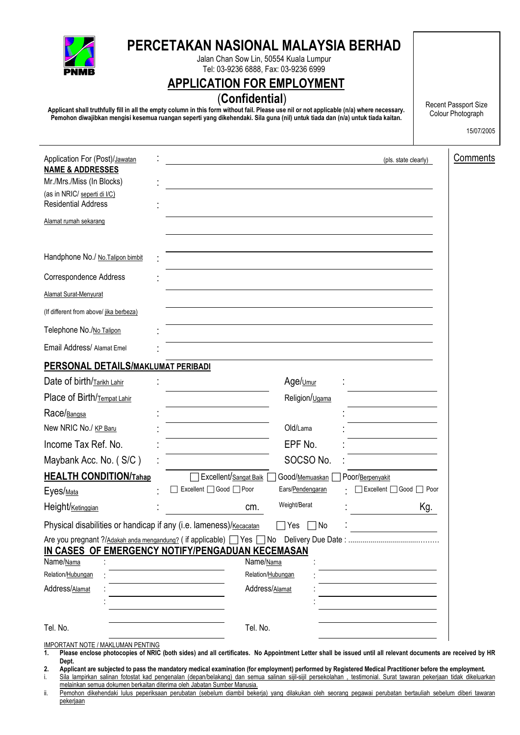

# **PERCETAKAN NASIONAL MALAYSIA BERHAD**

Jalan Chan Sow Lin, 50554 Kuala Lumpur Tel: 03-9236 6888, Fax: 03-9236 6999

# **APPLICATION FOR EMPLOYMENT**

# (**Confidential**)

**Applicant shall truthfully fill in all the empty column in this form without fail. Please use nil or not applicable (n/a) where necessary. Pemohon diwajibkan mengisi kesemua ruangan seperti yang dikehendaki. Sila guna (nil) untuk tiada dan (n/a) untuk tiada kaitan.** 

Recent Passport Size Colour Photograph

15/07/2005

| Application For (Post)/Jawatan                                     |                         |                      | (pls. state clearly) |
|--------------------------------------------------------------------|-------------------------|----------------------|----------------------|
| <b>NAME &amp; ADDRESSES</b>                                        |                         |                      |                      |
| Mr./Mrs./Miss (In Blocks)<br>(as in NRIC/ seperti di I/C)          |                         |                      |                      |
| <b>Residential Address</b>                                         |                         |                      |                      |
| Alamat rumah sekarang                                              |                         |                      |                      |
|                                                                    |                         |                      |                      |
| Handphone No./ No. Talipon bimbit                                  |                         |                      |                      |
| Correspondence Address                                             |                         |                      |                      |
| <b>Alamat Surat-Menyurat</b>                                       |                         |                      |                      |
| (If different from above/ jika berbeza)                            |                         |                      |                      |
| Telephone No./No Talipon                                           |                         |                      |                      |
| Email Address/ Alamat Emel                                         |                         |                      |                      |
| PERSONAL DETAILS/MAKLUMAT PERIBADI                                 |                         |                      |                      |
| Date of birth/Tarikh Lahir                                         |                         | Age/ <sub>Umur</sub> |                      |
| Place of Birth/Tempat Lahir                                        |                         | Religion/Ugama       |                      |
| Race/Bangsa                                                        |                         |                      |                      |
| New NRIC No./ KP Baru                                              |                         | Old/Lama             |                      |
| Income Tax Ref. No.                                                |                         | EPF No.              |                      |
| Maybank Acc. No. (S/C)                                             |                         | SOCSO No.            |                      |
| <b>HEALTH CONDITION/Tahap</b>                                      | Excellent/Sangat Baik   | Good/Memuaskan       | Poor/Berpenyakit     |
| Eyes/ <sub>Mata</sub>                                              | Excellent □ Good □ Poor | Ears/Pendengaran     | Excellent Good Poor  |
| Height/Ketinggian                                                  | cm.                     | Weight/Berat         | Kg.                  |
| Physical disabilities or handicap if any (i.e. lameness)/Kecacatan |                         | Yes<br>∏No           |                      |
|                                                                    |                         |                      |                      |
| IN CASES OF EMERGENCY NOTIFY/PENGADUAN KECEMASAN<br>Name/Nama      | Name/Nama               |                      |                      |
| Relation/Hubungan                                                  |                         | Relation/Hubungan    |                      |
| Address/Alamat                                                     |                         | Address/Alamat       |                      |
|                                                                    |                         |                      |                      |
| Tel. No.                                                           | Tel. No.                |                      |                      |
| IMPORTANT NOTE / MAKLUMAN PENTING                                  |                         |                      |                      |

**1. Please enclose photocopies of NRIC (both sides) and all certificates. No Appointment Letter shall be issued until all relevant documents are received by HR Dept.** 

**2. Applicant are subjected to pass the mandatory medical examination (for employment) performed by Registered Medical Practitioner before the employment.** 

i. Sila lampirkan salinan fotostat kad pengenalan (depan/belakang) dan semua salinan sijil-sijil persekolahan , testimonial. Surat tawaran pekerjaan tidak dikeluarkan melainkan semua dokumen berkaitan diterima oleh Jabatan Sumber Manusia.

ii. Pemohon dikehendaki lulus peperiksaan perubatan (sebelum diambil bekerja) yang dilakukan oleh seorang pegawai perubatan bertauliah sebelum diberi tawaran pekerjaan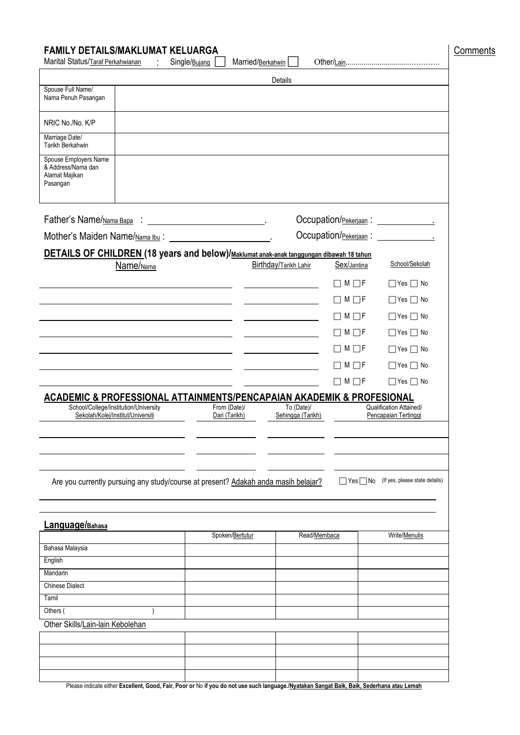| Marital Status/Taraf Perkahwianan<br>$\langle \cdot \rangle$                                         | Single/Bujang<br>Married/Berkahwin |                                 |                                                 |                                        |
|------------------------------------------------------------------------------------------------------|------------------------------------|---------------------------------|-------------------------------------------------|----------------------------------------|
| Spouse Full Name/                                                                                    |                                    | <b>Details</b>                  |                                                 |                                        |
| Nama Penuh Pasangan                                                                                  |                                    |                                 |                                                 |                                        |
| NRIC No./No. K/P                                                                                     |                                    |                                 |                                                 |                                        |
| Marriage Date/<br>Tarikh Berkahwin                                                                   |                                    |                                 |                                                 |                                        |
| Spouse Employers Name<br>& Address/Nama dan<br>Alamat Majikan<br>Pasangan                            |                                    |                                 |                                                 |                                        |
| Father's Name/Nama Bapa : _________________________________.                                         |                                    |                                 |                                                 |                                        |
|                                                                                                      |                                    |                                 |                                                 | Occupation/Pekerjaan: ________________ |
| DETAILS OF CHILDREN (18 years and below)/Maklumat anak-anak tanggungan dibawah 18 tahun<br>Name/Nama |                                    | Birthday/Tarikh Lahir           | Sex/Jantina                                     | School/Sekolah                         |
|                                                                                                      |                                    |                                 | $\Box$ M $\Box$ F                               | $\Box$ Yes $\Box$ No                   |
|                                                                                                      |                                    |                                 | $\Box$ M $\Box$ F                               | $\Box$ Yes $\Box$ No                   |
|                                                                                                      |                                    |                                 | $\Box M \Box F$                                 | $\Box$ Yes $\Box$ No                   |
|                                                                                                      |                                    |                                 | $\Box$ M $\Box$ F                               | $\Box$ Yes $\Box$ No                   |
|                                                                                                      |                                    |                                 | $\Box$ M $\Box$ F                               | $\Box$ Yes $\Box$ No                   |
|                                                                                                      |                                    |                                 | $\mid$ M $\Box$ F                               | $\Box$ Yes $\Box$ No                   |
|                                                                                                      |                                    |                                 | $\Box$ M $\Box$ F                               | $\Box$ Yes $\Box$ No                   |
| <b>ACADEMIC &amp; PROFESSIONAL ATTAINMENTS/PENCAPAIAN AKADEMIK &amp; PROFESIONAL</b>                 |                                    |                                 |                                                 |                                        |
| School/College/Institution/University<br>Sekolah/Kolej/Institut/Universiti                           | From (Date)/<br>Dari (Tarikh)      | To (Date)/<br>Sehingga (Tarikh) | Qualification Attained/<br>Pencapaian Tertinggi |                                        |
|                                                                                                      |                                    |                                 |                                                 |                                        |
|                                                                                                      |                                    |                                 |                                                 |                                        |
|                                                                                                      |                                    |                                 |                                                 |                                        |
| Are you currently pursuing any study/course at present? Adakah anda masih belajar?                   |                                    |                                 | $\Box$ Yes $\Box$ No                            | (If yes, please state details)         |
| Language/Bahasa                                                                                      |                                    |                                 |                                                 |                                        |
|                                                                                                      | Spoken/Bertutur                    | Read/Membaca                    |                                                 | Write/Menulis                          |
| Bahasa Malaysia                                                                                      |                                    |                                 |                                                 |                                        |
| English<br>Mandarin                                                                                  |                                    |                                 |                                                 |                                        |
| <b>Chinese Dialect</b>                                                                               |                                    |                                 |                                                 |                                        |
| Tamil                                                                                                |                                    |                                 |                                                 |                                        |
|                                                                                                      |                                    |                                 |                                                 |                                        |
| Others (                                                                                             |                                    |                                 |                                                 |                                        |
|                                                                                                      |                                    |                                 |                                                 |                                        |
|                                                                                                      |                                    |                                 |                                                 |                                        |
|                                                                                                      |                                    |                                 |                                                 |                                        |
| Other Skills/Lain-lain Kebolehan                                                                     |                                    |                                 |                                                 |                                        |

Please indicate either **Excellent, Good, Fair, Poor or** No **if you do not use such language./Nyatakan Sangat Baik, Baik, Sederhana atau Lemah**